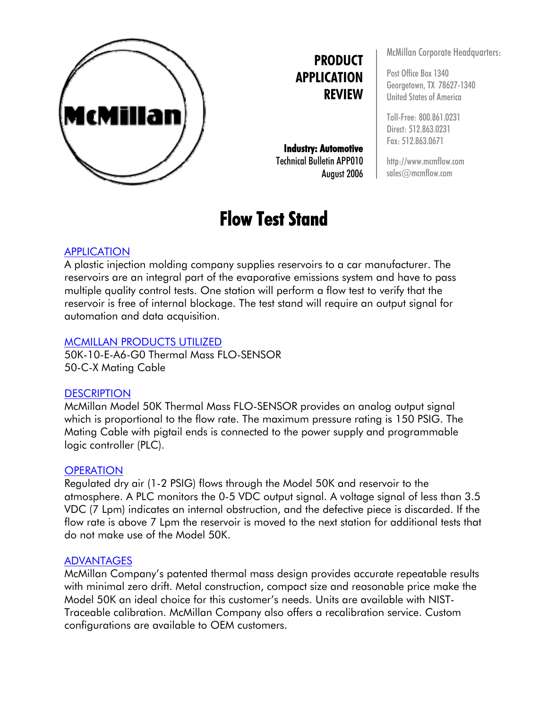

# **PRODUCT APPLICATION REVIEW**

**Industry: Automotive**  Technical Bulletin APP010 August 2006

# **Flow Test Stand**

McMillan Corporate Headquarters:

Post Office Box 1340 Georgetown, TX 78627-1340 United States of America

Toll-Free: 800.861.0231 Direct: 512.863.0231 Fax: 512.863.0671

http://www.mcmflow.com sales@mcmflow.com

## APPLICATION

A plastic injection molding company supplies reservoirs to a car manufacturer. The reservoirs are an integral part of the evaporative emissions system and have to pass multiple quality control tests. One station will perform a flow test to verify that the reservoir is free of internal blockage. The test stand will require an output signal for automation and data acquisition.

#### MCMILLAN PRODUCTS UTILIZED

50K-10-E-A6-G0 Thermal Mass FLO-SENSOR 50-C-X Mating Cable

#### **DESCRIPTION**

McMillan Model 50K Thermal Mass FLO-SENSOR provides an analog output signal which is proportional to the flow rate. The maximum pressure rating is 150 PSIG. The Mating Cable with pigtail ends is connected to the power supply and programmable logic controller (PLC).

#### **OPERATION**

Regulated dry air (1-2 PSIG) flows through the Model 50K and reservoir to the atmosphere. A PLC monitors the 0-5 VDC output signal. A voltage signal of less than 3.5 VDC (7 Lpm) indicates an internal obstruction, and the defective piece is discarded. If the flow rate is above 7 Lpm the reservoir is moved to the next station for additional tests that do not make use of the Model 50K.

#### ADVANTAGES

McMillan Company's patented thermal mass design provides accurate repeatable results with minimal zero drift. Metal construction, compact size and reasonable price make the Model 50K an ideal choice for this customer's needs. Units are available with NIST-Traceable calibration. McMillan Company also offers a recalibration service. Custom configurations are available to OEM customers.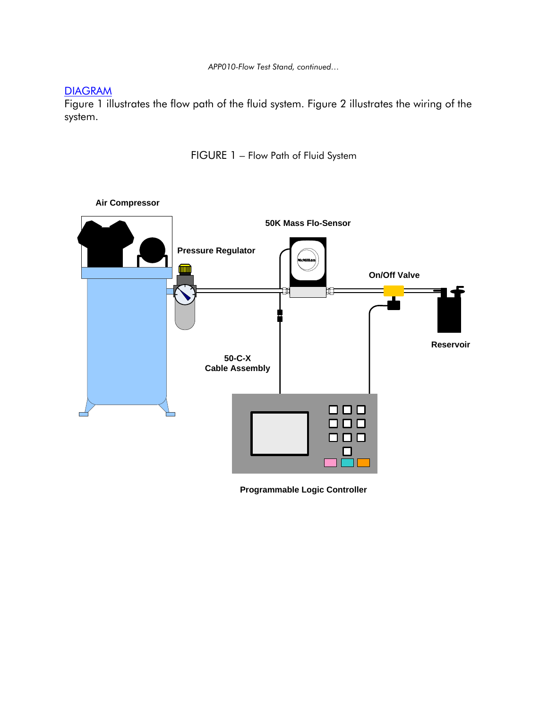*APP010-Flow Test Stand, continued…*

### **DIAGRAM**

Figure 1 illustrates the flow path of the fluid system. Figure 2 illustrates the wiring of the system.

FIGURE 1 – Flow Path of Fluid System



**Programmable Logic Controller**